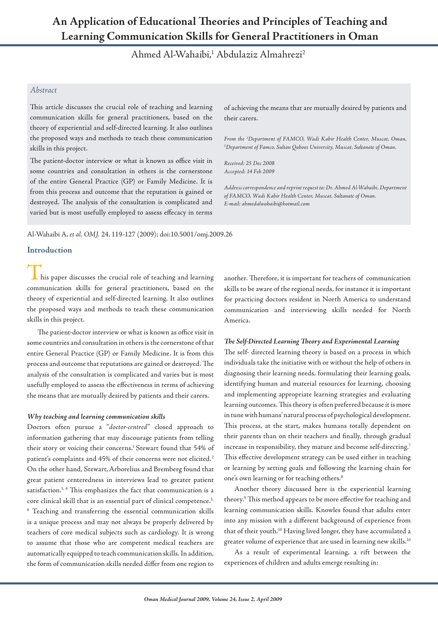# **An Application of Educational Theories and Principles of Teaching and Learning Communication Skills for General Practitioners in Oman**

Ahmed Al-Wahaibi,<sup>1</sup> Abdulaziz Almahrezi<sup>2</sup>

# *Abstract*

This article discusses the crucial role of teaching and learning communication skills for general practitioners, based on the theory of experiential and self-directed learning. It also outlines the proposed ways and methods to teach these communication skills in this project.

The patient-doctor interview or what is known as office visit in some countries and consultation in others is the cornerstone of the entire General Practice (GP) or Family Medicine. It is from this process and outcome that the reputation is gained or destroyed. The analysis of the consultation is complicated and varied but is most usefully employed to assess effecacy in terms

of achieving the means that are mutually desired by patients and their carers.

*From the 1 Department of FAMCO, Wadi Kabir Health Center, Muscat, Oman, 2 Department of Famco, Sultan Qaboos University, Muscat, Sultanate of Oman.*

*Received: 25 Dec 2008 Accepted: 14 Feb 2009*

*Address correspondence and reprint request to: Dr. Ahmed Al-Wahaibi, Department of FAMCO, Wadi Kabir Health Center, Muscat, Sultanate of Oman. E-mail: ahmedalwahaibi@hotmail.com*

Al-Wahaibi A, *et al. OMJ.* 24, 119-127 (2009); doi:10.5001/omj.2009.26

# **Introduction**

 $\overline{\phantom{a}}$  his paper discusses the crucial role of teaching and learning communication skills for general practitioners, based on the theory of experiential and self-directed learning. It also outlines the proposed ways and methods to teach these communication skills in this project.

The patient-doctor interview or what is known as office visit in some countries and consultation in others is the cornerstone of that entire General Practice (GP) or Family Medicine. It is from this process and outcome that reputations are gained or destroyed. The analysis of the consultation is complicated and varies but is most usefully employed to assess the effectiveness in terms of achieving the means that are mutually desired by patients and their carers.

### *Why teaching and learning communication skills*

Doctors often pursue a "*doctor-centred*" closed approach to information gathering that may discourage patients from telling their story or voicing their concerns.<sup>1</sup> Stewart found that 54% of patient's complaints and 45% of their concerns were not elicited.<sup>2</sup> On the other hand, Stewart,Arborelius and Bremberg found that great patient centeredness in interviews lead to greater patient satisfaction.<sup>3, 4</sup> This emphasizes the fact that communication is a core clinical skill that is an essential part of clinical competence.<sup>5,</sup> 6 Teaching and transferring the essential communication skills is a unique process and may not always be properly delivered by teachers of core medical subjects such as cardiology. It is wrong to assume that those who are competent medical teachers are automatically equipped to teach communication skills. In addition, the form of communication skills needed differ from one region to

another. Therefore, it is important for teachers of communication skills to be aware of the regional needs, for instance it is important for practicing doctors resident in North America to understand communication and interviewing skills needed for North America.

# *The Self-Directed Learning Theory and Experimental Learning*

The self- directed learning theory is based on a process in which individuals take the initiative with or without the help of others in diagnosing their learning needs, formulating their learning goals, identifying human and material resources for learning, choosing and implementing appropriate learning strategies and evaluating learning outcomes. This theory is often preferred because it is more in tune with humans' natural process of psychological development. This process, at the start, makes humans totally dependent on their parents than on their teachers and finally, through gradual increase in responsibility, they mature and become self-directing.7 This effective development strategy can be used either in teaching or learning by setting goals and following the learning chain for one's own learning or for teaching others.<sup>8</sup>

Another theory discussed here is the experiential learning theory.9 This method appears to be more effective for teaching and learning communication skills. Knowles found that adults enter into any mission with a different background of experience from that of their youth.10 Having lived longer, they have accumulated a greater volume of experience that are used in learning new skills.10

As a result of experimental learning, a rift between the experiences of children and adults emerge resulting in: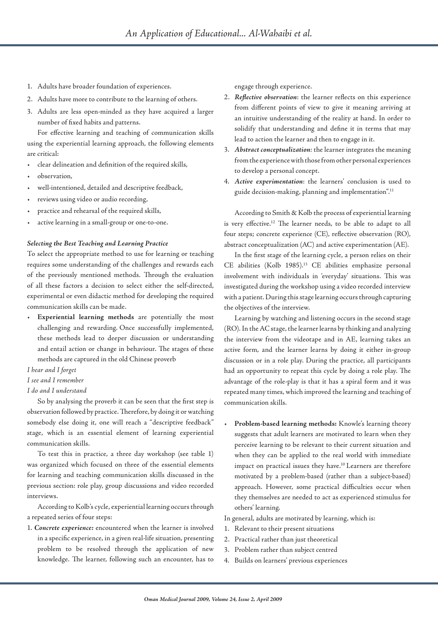- 1. Adults have broader foundation of experiences.
- 2. Adults have more to contribute to the learning of others.
- 3. Adults are less open-minded as they have acquired a larger number of fixed habits and patterns.

For effective learning and teaching of communication skills using the experiential learning approach, the following elements are critical:

- clear delineation and definition of the required skills,
- observation,
- well-intentioned, detailed and descriptive feedback,
- reviews using video or audio recording,
- practice and rehearsal of the required skills,
- active learning in a small-group or one-to-one.

#### *Selecting the Best Teaching and Learning Practice*

To select the appropriate method to use for learning or teaching requires some understanding of the challenges and rewards each of the previously mentioned methods. Through the evaluation of all these factors a decision to select either the self-directed, experimental or even didactic method for developing the required communication skills can be made.

• **Experiential learning methods** are potentially the most challenging and rewarding. Once successfully implemented, these methods lead to deeper discussion or understanding and entail action or change in behaviour. The stages of these methods are captured in the old Chinese proverb

### *I hear and I forget*

*I see and I remember*

# *I do and I understand*

So by analysing the proverb it can be seen that the first step is observation followed by practice. Therefore, by doing it or watching somebody else doing it, one will reach a "descriptive feedback" stage, which is an essential element of learning experiential communication skills.

To test this in practice, a three day workshop (see table 1) was organized which focused on three of the essential elements for learning and teaching communication skills discussed in the previous section: role play, group discussions and video recorded interviews.

According to Kolb's cycle, experiential learning occurs through a repeated series of four steps:

1. *Concrete experience:* encountered when the learner is involved in a specific experience, in a given real-life situation, presenting problem to be resolved through the application of new knowledge. The learner, following such an encounter, has to engage through experience.

- 2. *Reflective observation*: the learner reflects on this experience from different points of view to give it meaning arriving at an intuitive understanding of the reality at hand. In order to solidify that understanding and define it in terms that may lead to action the learner and then to engage in it.
- 3. *Abstract conceptualization:* the learner integrates the meaning from the experience with those from other personal experiences to develop a personal concept.
- 4. *Active experimentation*: the learners' conclusion is used to guide decision-making, planning and implementation".11

According to Smith & Kolb the process of experiential learning is very effective.12 The learner needs, to be able to adapt to all four steps; concrete experience (CE), reflective observation (RO), abstract conceptualization (AC) and active experimentation (AE).

In the first stage of the learning cycle, a person relies on their CE abilities (Kolb 1985).13 CE abilities emphasize personal involvement with individuals in 'everyday' situations. This was investigated during the workshop using a video recorded interview with a patient. During this stage learning occurs through capturing the objectives of the interview.

Learning by watching and listening occurs in the second stage (RO). In the AC stage, the learner learns by thinking and analyzing the interview from the videotape and in AE, learning takes an active form, and the learner learns by doing it either in-group discussion or in a role play. During the practice, all participants had an opportunity to repeat this cycle by doing a role play. The advantage of the role-play is that it has a spiral form and it was repeated many times, which improved the learning and teaching of communication skills.

• **Problem-based learning methods:** Knowle's learning theory suggests that adult learners are motivated to learn when they perceive learning to be relevant to their current situation and when they can be applied to the real world with immediate impact on practical issues they have.10 Learners are therefore motivated by a problem-based (rather than a subject-based) approach. However, some practical difficulties occur when they themselves are needed to act as experienced stimulus for others' learning.

In general, adults are motivated by learning, which is:

- 1. Relevant to their present situations
- 2. Practical rather than just theoretical
- 3. Problem rather than subject centred
- 4. Builds on learners' previous experiences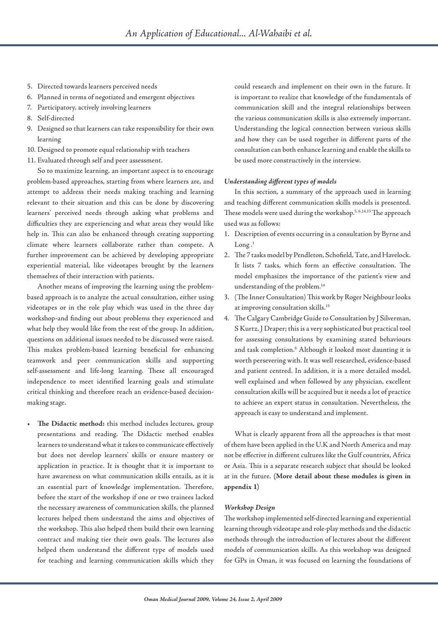- 5. Directed towards learners perceived needs
- 6. Planned in terms of negotiated and emergent objectives
- 7. Participatory, actively involving learners
- 8. Self-directed
- 9. Designed so that learners can take responsibility for their own learning
- 10. Designed to promote equal relationship with teachers
- 11. Evaluated through self and peer assessment.

So to maximize learning, an important aspect is to encourage problem-based approaches, starting from where learners are, and attempt to address their needs making teaching and learning relevant to their situation and this can be done by discovering learners' perceived needs through asking what problems and difficulties they are experiencing and what areas they would like help in. This can also be enhanced through creating supporting climate where learners collaborate rather than compete. A further improvement can be achieved by developing appropriate experiential material, like videotapes brought by the learners themselves of their interaction with patients.

Another means of improving the learning using the problembased approach is to analyze the actual consultation, either using videotapes or in the role play which was used in the three day workshop-and finding out about problems they experienced and what help they would like from the rest of the group. In addition, questions on additional issues needed to be discussed were raised. This makes problem-based learning beneficial for enhancing teamwork and peer communication skills and supporting self-assessment and life-long learning. These all encouraged independence to meet identified learning goals and stimulate critical thinking and therefore reach an evidence-based decisionmaking stage.

The Didactic method: this method includes lectures, group presentations and reading. The Didactic method enables learners to understand what it takes to communicate effectively but does not develop learners' skills or ensure mastery or application in practice. It is thought that it is important to have awareness on what communication skills entails, as it is an essential part of knowledge implementation. Therefore, before the start of the workshop if one or two trainees lacked the necessary awareness of communication skills, the planned lectures helped them understand the aims and objectives of the workshop. This also helped them build their own learning contract and making tier their own goals. The lectures also helped them understand the different type of models used for teaching and learning communication skills which they

could research and implement on their own in the future. It is important to realize that knowledge of the fundamentals of communication skill and the integral relationships between the various communication skills is also extremely important. Understanding the logical connection between various skills and how they can be used together in different parts of the consultation can both enhance learning and enable the skills to be used more constructively in the interview.

#### *Understanding different types of models*

In this section, a summary of the approach used in learning and teaching different communication skills models is presented. These models were used during the workshop.<sup>5, 6, 14, 15</sup> The approach used was as follows:

- 1. Description of events occurring in a consultation by Byrne and Long $^{1}$
- 2. The 7 tasks model by Pendleton, Schofield, Tate, and Havelock. It lists 7 tasks, which form an effective consultation. The model emphasizes the importance of the patient's view and understanding of the problem.14
- 3. (The Inner Consultation) This work by Roger Neighbour looks at improving consultation skills.15
- 4. The Calgary Cambridge Guide to Consultation by J Silverman, S Kurtz, J Draper; this is a very sophisticated but practical tool for assessing consultations by examining stated behaviours and task completion.<sup>6</sup> Although it looked most daunting it is worth persevering with. It was well researched, evidence-based and patient centred. In addition, it is a more detailed model, well explained and when followed by any physician, excellent consultation skills will be acquired but it needs a lot of practice to achieve an expert status in consultation. Nevertheless, the approach is easy to understand and implement.

What is clearly apparent from all the approaches is that most of them have been applied in the U.K and North America and may not be effective in different cultures like the Gulf countries, Africa or Asia. This is a separate research subject that should be looked at in the future. **(More detail about these modules is given in appendix 1)**

#### *Workshop Design*

The workshop implemented self-directed learning and experiential learning through videotape and role-play methods and the didactic methods through the introduction of lectures about the different models of communication skills. As this workshop was designed for GPs in Oman, it was focused on learning the foundations of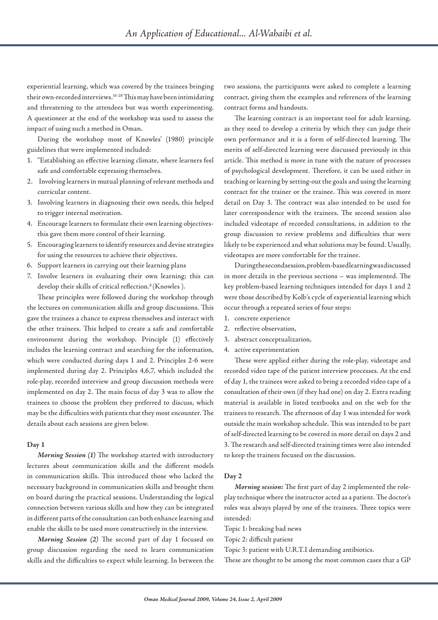experiential learning, which was covered by the trainees bringing their own-recorded interviews.16-28 This may have been intimidating and threatening to the attendees but was worth experimenting. A questioneer at the end of the workshop was used to assess the impact of using such a method in Oman.

During the workshop most of Knowles' (1980) principle guidelines that were implemented included:

- 1. "Establishing an effective learning climate, where learners feel safe and comfortable expressing themselves.
- 2. Involving learners in mutual planning of relevant methods and curricular content.
- 3. Involving learners in diagnosing their own needs, this helped to trigger internal motivation.
- 4. Encourage learners to formulate their own learning objectivesthis gave them more control of their learning.
- 5. Encouraging learners to identify resources and devise strategies for using the resources to achieve their objectives.
- 6. Support learners in carrying out their learning plans
- 7. Involve learners in evaluating their own learning; this can develop their skills of critical reflection.<sup>8</sup> (Knowles ).

These principles were followed during the workshop through the lectures on communication skills and group discussions. This gave the trainees a chance to express themselves and interact with the other trainees. This helped to create a safe and comfortable environment during the workshop. Principle (1) effectively includes the learning contract and searching for the information, which were conducted during days 1 and 2. Principles 2-6 were implemented during day 2. Principles 4,6,7, which included the role-play, recorded interview and group discussion methods were implemented on day 2. The main focus of day 3 was to allow the trainees to choose the problem they preferred to discuss, which may be the difficulties with patients that they most encounter. The details about each sessions are given below.

#### **Day 1**

*Morning Session (1)* The workshop started with introductory lectures about communication skills and the different models in communication skills. This introduced those who lacked the necessary background in communication skills and brought them on board during the practical sessions. Understanding the logical connection between various skills and how they can be integrated in different parts of the consultation can both enhance learning and enable the skills to be used more constructively in the interview.

*Morning Session (2)* The second part of day 1 focused on group discussion regarding the need to learn communication skills and the difficulties to expect while learning. In between the

two sessions, the participants were asked to complete a learning contract, giving them the examples and references of the learning contract forms and handouts.

The learning contract is an important tool for adult learning, as they need to develop a criteria by which they can judge their own performance and it is a form of self-directed learning. The merits of self-directed learning were discussed previously in this article. This method is more in tune with the nature of processes of psychological development. Therefore, it can be used either in teaching or learning by setting-out the goals and using the learning contract for the trainer or the trainee. This was covered in more detail on Day 3. The contract was also intended to be used for later correspondence with the trainees. The second session also included videotape of recorded consultations, in addition to the group discussion to review problems and difficulties that were likely to be experienced and what solutions may be found. Usually, videotapes are more comfortable for the trainee.

During the second session, problem-based learning was discussed in more details in the previous sections – was implemented. The key problem-based learning techniques intended for days 1 and 2 were those described by Kolb's cycle of experiential learning which occur through a repeated series of four steps:

- 1. concrete experience
- 2. reflective observation,
- 3. abstract conceptualization,
- 4. active experimentation

These were applied either during the role-play, videotape and recorded video tape of the patient interview processes. At the end of day 1, the trainees were asked to bring a recorded video tape of a consultation of their own (if they had one) on day 2. Extra reading material is available in listed textbooks and on the web for the trainees to research. The afternoon of day 1 was intended for work outside the main workshop schedule. This was intended to be part of self-directed learning to be covered in more detail on days 2 and 3. The research and self-directed training times were also intended to keep the trainees focused on the discussion.

#### **Day 2**

*Morning session:* The first part of day 2 implemented the roleplay technique where the instructor acted as a patient. The doctor's roles was always played by one of the trainees. Three topics were intended:

Topic 1: breaking bad news

Topic 2: difficult patient

Topic 3: patient with U.R.T.I demanding antibiotics.

These are thought to be among the most common cases that a GP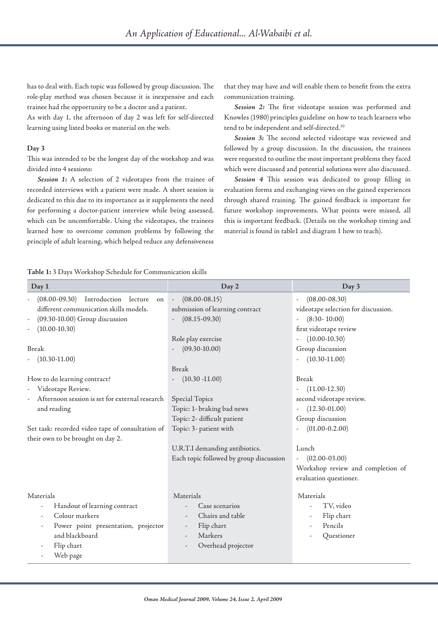has to deal with. Each topic was followed by group discussion. The role-play method was chosen because it is inexpensive and each trainee had the opportunity to be a doctor and a patient.

As with day 1, the afternoon of day 2 was left for self-directed learning using listed books or material on the web.

#### **Day 3**

This was intended to be the longest day of the workshop and was divided into 4 sessions:

*Session 1:* A selection of 2 videotapes from the trainee of recorded interviews with a patient were made. A short session is dedicated to this due to its importance as it supplements the need for performing a doctor-patient interview while being assessed, which can be uncomfortable. Using the videotapes, the trainees learned how to overcome common problems by following the principle of adult learning, which helped reduce any defensiveness

that they may have and will enable them to benefit from the extra communication training.

*Session 2:* The first videotape session was performed and Knowles (1980) principles guideline on how to teach learners who tend to be independent and self-directed.10

*Session 3:* The second selected videotape was reviewed and followed by a group discussion. In the discussion, the trainees were requested to outline the most important problems they faced which were discussed and potential solutions were also discussed.

*Session 4* This session was dedicated to group filling in evaluation forms and exchanging views on the gained experiences through shared training. The gained feedback is important for future workshop improvements. What points were missed, all this is important feedback. (Details on the workshop timing and material is found in table1 and diagram 1 how to teach).

#### **Table 1:** 3 Days Workshop Schedule for Communication skills

| Day 1                                               | Day 2                                          | Day 3                                         |
|-----------------------------------------------------|------------------------------------------------|-----------------------------------------------|
| (08.00-09.30) Introduction lecture on               | $(08.00 - 08.15)$<br>$\overline{\phantom{a}}$  | $(08.00 - 08.30)$<br>$\overline{\phantom{a}}$ |
| different communication skills models.              | submission of learning contract                | videotape selection for discussion.           |
| (09.30-10.00) Group discussion                      | $(08.15 - 09.30)$<br>$\overline{\phantom{a}}$  | $(8:30 - 10:00)$                              |
| $(10.00 - 10.30)$<br>,                              |                                                | first videotape review                        |
|                                                     | Role play exercise                             | $(10.00 - 10.30)$                             |
| Break                                               | $(09.30 - 10.00)$                              | Group discussion                              |
| $(10.30 - 11.00)$                                   |                                                | $(10.30 - 11.00)$                             |
|                                                     | <b>Break</b>                                   |                                               |
| How to do learning contract?                        | $(10.30 - 11.00)$                              | Break                                         |
| Videotape Review.<br>-                              |                                                | $(11.00-12.30)$                               |
| Afternoon session is set for external research<br>, | Special Topics                                 | second videotape review.                      |
| and reading                                         | Topic: 1- braking bad news                     | $(12.30-01.00)$                               |
|                                                     | Topic: 2- difficult patient                    | Group discussion                              |
| Set task: recorded video tape of consultation of    | Topic: 3- patient with                         | $(01.00 - 0.2.00)$                            |
| their own to be brought on day 2.                   |                                                |                                               |
|                                                     | U.R.T.I demanding antibiotics.                 | Lunch                                         |
|                                                     | Each topic followed by group discussion        | $(02.00 - 03.00)$                             |
|                                                     |                                                | Workshop review and completion of             |
|                                                     |                                                | evaluation questioner.                        |
| Materials                                           | Materials                                      | Materials                                     |
| Handout of learning contract                        | Case scenarios                                 | TV, video                                     |
| Colour markers                                      | Chairs and table<br>$\overline{\phantom{a}}$   | Flip chart<br>-                               |
| Power point presentation, projector                 | Flip chart<br>$\overline{\phantom{a}}$         | Pencils<br>۰                                  |
| and blackboard                                      | Markers                                        | Questioner                                    |
| Flip chart<br>$\overline{\phantom{a}}$              | Overhead projector<br>$\overline{\phantom{a}}$ |                                               |
| Web page                                            |                                                |                                               |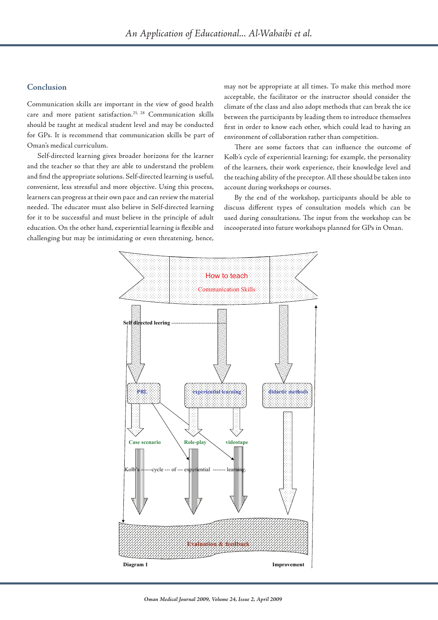# **Conclusion**

Communication skills are important in the view of good health care and more patient satisfaction.<sup>25, 28</sup> Communication skills should be taught at medical student level and may be conducted for GPs. It is recommend that communication skills be part of Oman's medical curriculum.

Self-directed learning gives broader horizons for the learner and the teacher so that they are able to understand the problem and find the appropriate solutions. Self-directed learning is useful, convenient, less stressful and more objective. Using this process, learners can progress at their own pace and can review the material needed. The educator must also believe in Self-directed learning for it to be successful and must believe in the principle of adult education. On the other hand, experiential learning is flexible and challenging but may be intimidating or even threatening, hence, may not be appropriate at all times. To make this method more acceptable, the facilitator or the instructor should consider the climate of the class and also adopt methods that can break the ice between the participants by leading them to introduce themselves first in order to know each other, which could lead to having an environment of collaboration rather than competition.

There are some factors that can influence the outcome of Kolb's cycle of experiential learning; for example, the personality of the learners, their work experience, their knowledge level and the teaching ability of the preceptor. All these should be taken into account during workshops or courses.

By the end of the workshop, participants should be able to discuss different types of consultation models which can be used during consultations. The input from the workshop can be incooperated into future workshops planned for GPs in Oman.

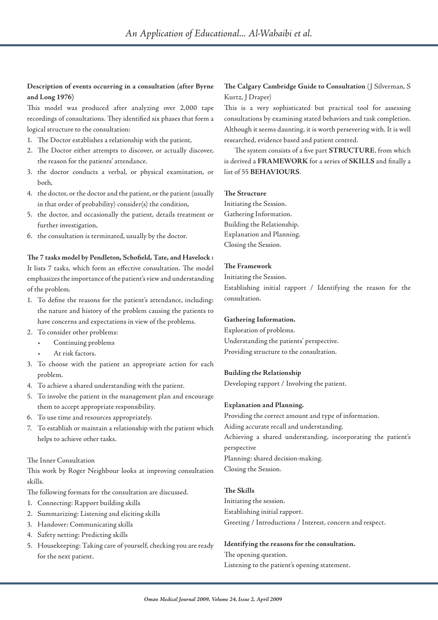# **Description of events occurring in a consultation (after Byrne and Long 1976)**

This model was produced after analyzing over 2,000 tape recordings of consultations. They identified six phases that form a logical structure to the consultation:

- 1. The Doctor establishes a relationship with the patient,
- 2. The Doctor either attempts to discover, or actually discover, the reason for the patients' attendance.
- 3. the doctor conducts a verbal, or physical examination, or both,
- 4. the doctor, or the doctor and the patient, or the patient (usually in that order of probability) consider(s) the condition,
- 5. the doctor, and occasionally the patient, details treatment or further investigation,
- 6. the consultation is terminated, usually by the doctor.

**The 7 tasks model by Pendleton, Schofield, Tate, and Havelock :** It lists 7 tasks, which form an effective consultation. The model emphasizes the importance of the patient's view and understanding of the problem.

- 1. To define the reasons for the patient's attendance, including: the nature and history of the problem causing the patients to have concerns and expectations in view of the problems.
- 2. To consider other problems:
	- Continuing problems
	- At risk factors.
- 3. To choose with the patient an appropriate action for each problem.
- 4. To achieve a shared understanding with the patient.
- 5. To involve the patient in the management plan and encourage them to accept appropriate responsibility.
- 6. To use time and resources appropriately.
- 7. To establish or maintain a relationship with the patient which helps to achieve other tasks.

#### The Inner Consultation

This work by Roger Neighbour looks at improving consultation skills.

The following formats for the consultation are discussed.

- 1. Connecting: Rapport building skills
- 2. Summarizing: Listening and eliciting skills
- 3. Handover: Communicating skills
- 4. Safety netting: Predicting skills
- 5. Housekeeping: Taking care of yourself, checking you are ready for the next patient.

**The Calgary Cambridge Guide to Consultation** (J Silverman, S Kurtz, J Draper)

This is a very sophisticated but practical tool for assessing consultations by examining stated behaviors and task completion. Although it seems daunting, it is worth persevering with. It is well researched, evidence based and patient centred.

The system consists of a five part **STRUCTURE**, from which is derived a **FRAMEWORK** for a series of **SKILLS** and finally a list of 55 **BEHAVIOURS**.

### **The Structure**

Initiating the Session. Gathering Information. Building the Relationship. Explanation and Planning. Closing the Session.

### **The Framework**

Initiating the Session.

Establishing initial rapport / Identifying the reason for the consultation.

#### **Gathering Information.**

Exploration of problems. Understanding the patients' perspective. Providing structure to the consultation.

#### **Building the Relationship**

Developing rapport / Involving the patient.

### **Explanation and Planning.**

Providing the correct amount and type of information. Aiding accurate recall and understanding. Achieving a shared understanding, incorporating the patient's perspective Planning: shared decision-making*.* Closing the Session.

### **The Skills**

Initiating the session. Establishing initial rapport. Greeting / Introductions / Interest, concern and respect.

### **Identifying the reasons for the consultation.**

The opening question. Listening to the patient's opening statement.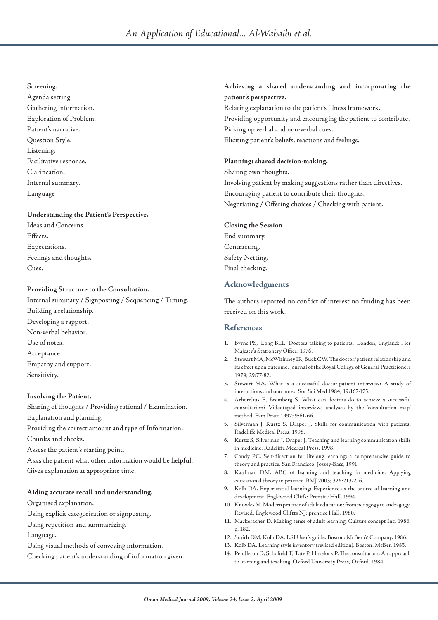#### Screening.

Agenda setting Gathering information. Exploration of Problem. Patient's narrative. Question Style. Listening. Facilitative response. Clarification. Internal summary. Language

### **Understanding the Patient's Perspective.**

Ideas and Concerns. Effects. Expectations. Feelings and thoughts. Cues.

# **Providing Structure to the Consultation.**

Internal summary / Signposting / Sequencing / Timing. Building a relationship. Developing a rapport. Non-verbal behavior. Use of notes. Acceptance. Empathy and support. Sensitivity.

# **Involving the Patient.**

Sharing of thoughts / Providing rational / Examination. Explanation and planning. Providing the correct amount and type of Information. Chunks and checks.

Assess the patient's starting point.

Asks the patient what other information would be helpful. Gives explanation at appropriate time.

# **Aiding accurate recall and understanding.**

Organised explanation.

Using explicit categorisation or signposting.

Using repetition and summarizing.

Language.

Using visual methods of conveying information.

Checking patient's understanding of information given.

# **Achieving a shared understanding and incorporating the patient's perspective.**

Relating explanation to the patient's illness framework. Providing opportunity and encouraging the patient to contribute. Picking up verbal and non-verbal cues. Eliciting patient's beliefs, reactions and feelings.

### **Planning: shared decision-making.**

Sharing own thoughts. Involving patient by making suggestions rather than directives. Encouraging patient to contribute their thoughts. Negotiating / Offering choices / Checking with patient.

### **Closing the Session**

End summary. Contracting. Safety Netting. Final checking.

# **Acknowledgments**

The authors reported no conflict of interest no funding has been received on this work.

# **References**

- 1. Byrne PS, Long BEL. Doctors talking to patients. London, England: Her Majesty's Stationery Office; 1976.
- 2. Stewart MA, McWhinney IR, Buck CW. The doctor/patient relationship and its effect upon outcome. Journal of the Royal College of General Practitioners 1979; 29:77-82.
- 3. Stewart MA. What is a successful doctor-patient interview? A study of interactions and outcomes. Soc Sci Med 1984; 19:167-175.
- 4. Arborelius E, Bremberg S. What can doctors do to achieve a successful consultation? Videotaped interviews analyses by the 'consultation map' method. Fam Pract 1992; 9:61-66.
- 5. Silverman J, Kurtz S, Draper J. Skills for communication with patients. Radcliffe Medical Press, 1998.
- 6. Kurtz S, Silverman J, Draper J. Teaching and learning communication skills in medicine. Radcliffe Medical Press, 1998.
- 7. Candy PC. Self-direction for lifelong learning: a comprehensive guide to theory and practice. San Francisco: Jossey-Bass, 1991.
- 8. Kaufman DM. ABC of learning and teaching in medicine: Applying educational theory in practice. BMJ 2003; 326:213-216.
- 9. Kolb DA. Experiential learning: Experience as the source of learning and development. Englewood Cliffs: Prentice Hall, 1994.
- 10. Knowles M. Modern practice of adult education: from pedagogy to andragogy. Revised. Englewood Cliftts NJ: prentice Hall, 1980.
- 11. Mackeracher D. Making sense of adult learning. Culture concept Inc. 1986, p. 182.
- 12. Smith DM, Kolb DA. LSI User's guide. Boston: McBer & Company, 1986.
- 13. Kolb DA. Learning style inventory (revised edition). Boston: McBer, 1985.
- 14. Pendleton D, Schofield T, Tate P, Havelock P. The consultation: An approach to learning and teaching. Oxford University Press, Oxford. 1984.